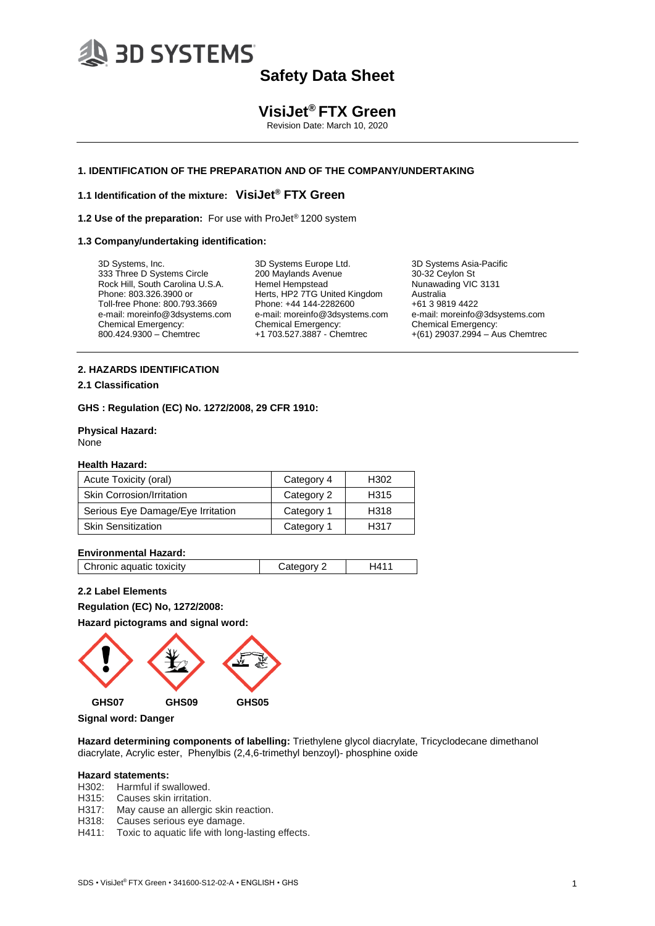# **3D SYSTEMS**

# **Safety Data Sheet**

### **VisiJet® FTX Green**

Revision Date: March 10, 2020

#### **1. IDENTIFICATION OF THE PREPARATION AND OF THE COMPANY/UNDERTAKING**

#### **1.1 Identification of the mixture: VisiJet® FTX Green**

**1.2 Use of the preparation:** For use with ProJet® 1200 system

#### **1.3 Company/undertaking identification:**

3D Systems, Inc. 333 Three D Systems Circle Rock Hill, South Carolina U.S.A. Phone: 803.326.3900 or Toll-free Phone: 800.793.3669 e-mail: moreinfo@3dsystems.com Chemical Emergency: 800.424.9300 – Chemtrec

3D Systems Europe Ltd. 200 Maylands Avenue Hemel Hempstead Herts, HP2 7TG United Kingdom Phone: +44 144-2282600 e-mail: moreinfo@3dsystems.com Chemical Emergency: +1 703.527.3887 - Chemtrec

3D Systems Asia-Pacific 30-32 Ceylon St Nunawading VIC 3131 Australia +61 3 9819 4422 e-mail: moreinfo@3dsystems.com Chemical Emergency: +(61) 29037.2994 – Aus Chemtrec

#### **2. HAZARDS IDENTIFICATION**

#### **2.1 Classification**

**GHS : Regulation (EC) No. 1272/2008, 29 CFR 1910:**

**Physical Hazard:**  None

#### **Health Hazard:**

| Acute Toxicity (oral)             | Category 4 | H <sub>302</sub> |
|-----------------------------------|------------|------------------|
| <b>Skin Corrosion/Irritation</b>  | Category 2 | H315             |
| Serious Eye Damage/Eye Irritation | Category 1 | H318             |
| <b>Skin Sensitization</b>         | Category 1 | H317             |

#### **Environmental Hazard:**

| Chronic aquatic toxicity<br>Category 2 |
|----------------------------------------|
|----------------------------------------|

#### **2.2 Label Elements**

**Regulation (EC) No, 1272/2008:**

**Hazard pictograms and signal word:**



**Signal word: Danger**

**Hazard determining components of labelling:** Triethylene glycol diacrylate, Tricyclodecane dimethanol diacrylate, Acrylic ester, Phenylbis (2,4,6-trimethyl benzoyl)- phosphine oxide

#### **Hazard statements:**

- H302: Harmful if swallowed.
- H315: Causes skin irritation.
- H317: May cause an allergic skin reaction.
- H318: Causes serious eye damage.
- H411: Toxic to aquatic life with long-lasting effects.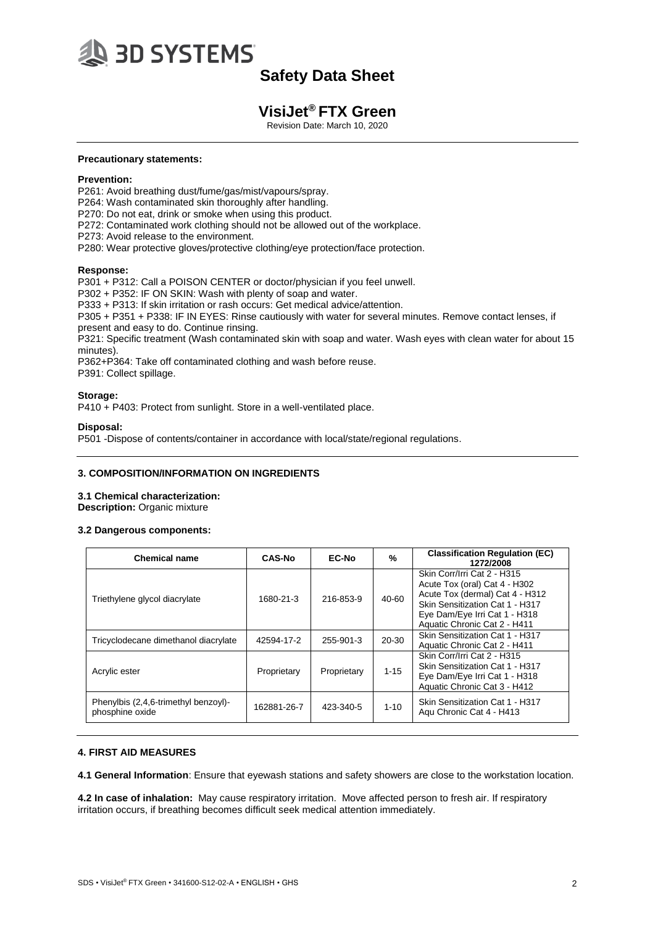

### **VisiJet® FTX Green**

Revision Date: March 10, 2020

#### **Precautionary statements:**

#### **Prevention:**

P261: Avoid breathing dust/fume/gas/mist/vapours/spray.

- P264: Wash contaminated skin thoroughly after handling.
- P270: Do not eat, drink or smoke when using this product.
- P272: Contaminated work clothing should not be allowed out of the workplace.
- P273: Avoid release to the environment.
- P280: Wear protective gloves/protective clothing/eye protection/face protection.

#### **Response:**

P301 + P312: Call a POISON CENTER or doctor/physician if you feel unwell.

P302 + P352: IF ON SKIN: Wash with plenty of soap and water.

P333 + P313: If skin irritation or rash occurs: Get medical advice/attention.

P305 + P351 + P338: IF IN EYES: Rinse cautiously with water for several minutes. Remove contact lenses, if

present and easy to do. Continue rinsing.

P321: Specific treatment (Wash contaminated skin with soap and water. Wash eyes with clean water for about 15 minutes).

P362+P364: Take off contaminated clothing and wash before reuse. P391: Collect spillage.

#### Storage:

P410 + P403: Protect from sunlight. Store in a well-ventilated place.

#### **Disposal:**

P501 -Dispose of contents/container in accordance with local/state/regional regulations.

#### **3. COMPOSITION/INFORMATION ON INGREDIENTS**

#### **3.1 Chemical characterization:**

**Description:** Organic mixture

#### **3.2 Dangerous components:**

| <b>Chemical name</b>                                    | <b>CAS-No</b> | <b>EC-No</b> | %        | <b>Classification Regulation (EC)</b><br>1272/2008                                                                                                                                                  |
|---------------------------------------------------------|---------------|--------------|----------|-----------------------------------------------------------------------------------------------------------------------------------------------------------------------------------------------------|
| Triethylene glycol diacrylate                           | 1680-21-3     | 216-853-9    | 40-60    | Skin Corr/Irri Cat 2 - H315<br>Acute Tox (oral) Cat 4 - H302<br>Acute Tox (dermal) Cat 4 - H312<br>Skin Sensitization Cat 1 - H317<br>Eye Dam/Eye Irri Cat 1 - H318<br>Aquatic Chronic Cat 2 - H411 |
| Tricyclodecane dimethanol diacrylate                    | 42594-17-2    | 255-901-3    | 20-30    | Skin Sensitization Cat 1 - H317<br>Aquatic Chronic Cat 2 - H411                                                                                                                                     |
| Acrylic ester                                           | Proprietary   | Proprietary  | $1 - 15$ | Skin Corr/Irri Cat 2 - H315<br>Skin Sensitization Cat 1 - H317<br>Eye Dam/Eye Irri Cat 1 - H318<br>Aquatic Chronic Cat 3 - H412                                                                     |
| Phenylbis (2,4,6-trimethyl benzoyl)-<br>phosphine oxide | 162881-26-7   | 423-340-5    | $1 - 10$ | Skin Sensitization Cat 1 - H317<br>Agu Chronic Cat 4 - H413                                                                                                                                         |

#### **4. FIRST AID MEASURES**

**4.1 General Information**: Ensure that eyewash stations and safety showers are close to the workstation location.

**4.2 In case of inhalation:** May cause respiratory irritation. Move affected person to fresh air. If respiratory irritation occurs, if breathing becomes difficult seek medical attention immediately.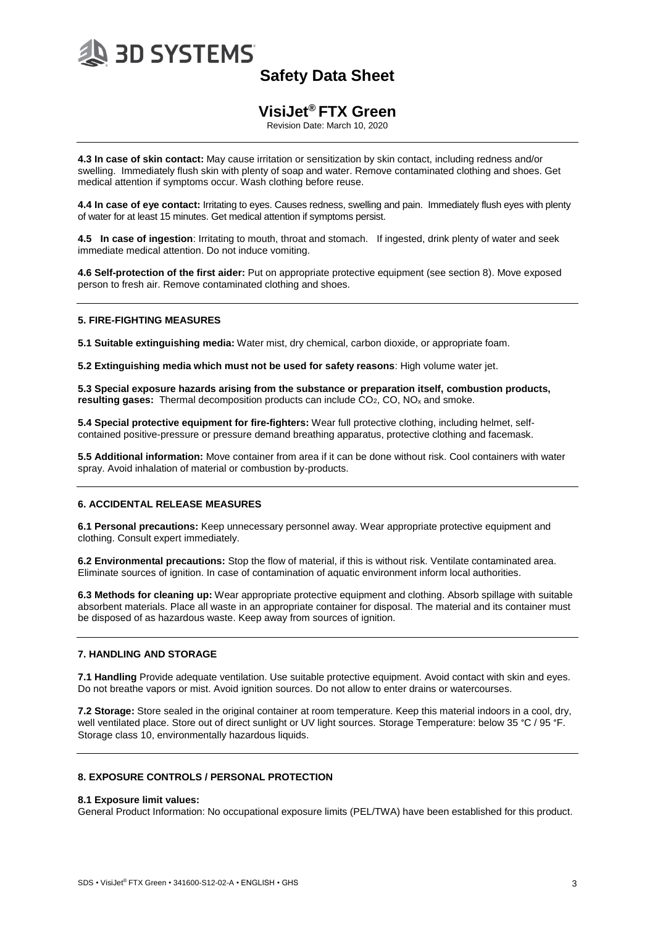

### **VisiJet® FTX Green**

Revision Date: March 10, 2020

**4.3 In case of skin contact:** May cause irritation or sensitization by skin contact, including redness and/or swelling. Immediately flush skin with plenty of soap and water. Remove contaminated clothing and shoes. Get medical attention if symptoms occur. Wash clothing before reuse.

**4.4 In case of eye contact:** Irritating to eyes. Causes redness, swelling and pain. Immediately flush eyes with plenty of water for at least 15 minutes. Get medical attention if symptoms persist.

**4.5 In case of ingestion**: Irritating to mouth, throat and stomach. If ingested, drink plenty of water and seek immediate medical attention. Do not induce vomiting.

**4.6 Self-protection of the first aider:** Put on appropriate protective equipment (see section 8). Move exposed person to fresh air. Remove contaminated clothing and shoes.

#### **5. FIRE-FIGHTING MEASURES**

**5.1 Suitable extinguishing media:** Water mist, dry chemical, carbon dioxide, or appropriate foam.

**5.2 Extinguishing media which must not be used for safety reasons**: High volume water jet.

**5.3 Special exposure hazards arising from the substance or preparation itself, combustion products, resulting gases:** Thermal decomposition products can include CO2, CO, NO<sup>x</sup> and smoke.

**5.4 Special protective equipment for fire-fighters:** Wear full protective clothing, including helmet, selfcontained positive-pressure or pressure demand breathing apparatus, protective clothing and facemask.

**5.5 Additional information:** Move container from area if it can be done without risk. Cool containers with water spray. Avoid inhalation of material or combustion by-products.

#### **6. ACCIDENTAL RELEASE MEASURES**

**6.1 Personal precautions:** Keep unnecessary personnel away. Wear appropriate protective equipment and clothing. Consult expert immediately.

**6.2 Environmental precautions:** Stop the flow of material, if this is without risk. Ventilate contaminated area. Eliminate sources of ignition. In case of contamination of aquatic environment inform local authorities.

**6.3 Methods for cleaning up:** Wear appropriate protective equipment and clothing. Absorb spillage with suitable absorbent materials. Place all waste in an appropriate container for disposal. The material and its container must be disposed of as hazardous waste. Keep away from sources of ignition.

#### **7. HANDLING AND STORAGE**

**7.1 Handling** Provide adequate ventilation. Use suitable protective equipment. Avoid contact with skin and eyes. Do not breathe vapors or mist. Avoid ignition sources. Do not allow to enter drains or watercourses.

**7.2 Storage:** Store sealed in the original container at room temperature. Keep this material indoors in a cool, dry, well ventilated place. Store out of direct sunlight or UV light sources. Storage Temperature: below 35 °C / 95 °F. Storage class 10, environmentally hazardous liquids.

#### **8. EXPOSURE CONTROLS / PERSONAL PROTECTION**

#### **8.1 Exposure limit values:**

General Product Information: No occupational exposure limits (PEL/TWA) have been established for this product.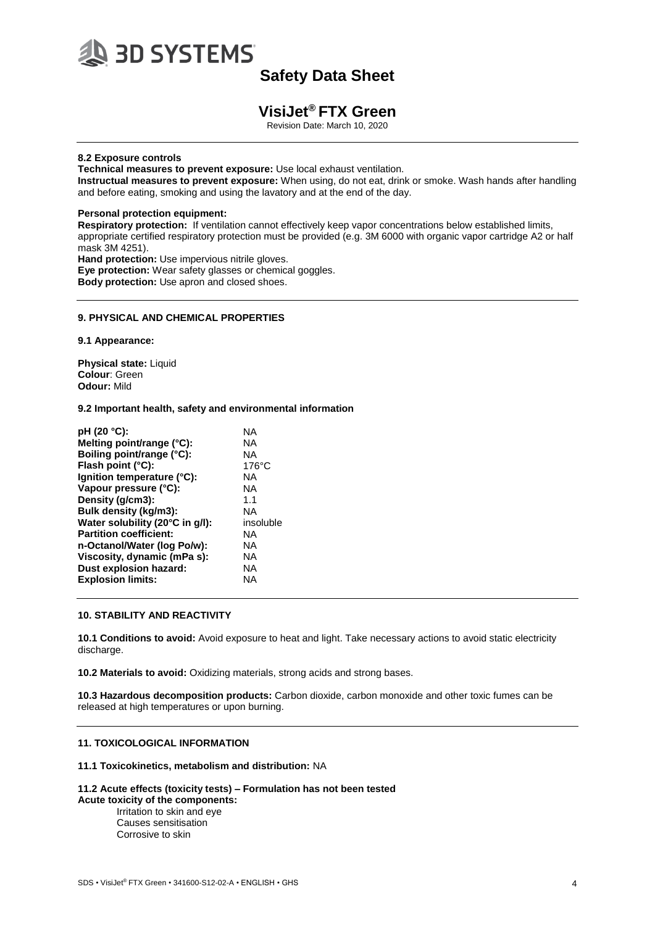

### **VisiJet® FTX Green**

Revision Date: March 10, 2020

#### **8.2 Exposure controls**

**Technical measures to prevent exposure:** Use local exhaust ventilation.

**Instructual measures to prevent exposure:** When using, do not eat, drink or smoke. Wash hands after handling and before eating, smoking and using the lavatory and at the end of the day.

#### **Personal protection equipment:**

**Respiratory protection:** If ventilation cannot effectively keep vapor concentrations below established limits, appropriate certified respiratory protection must be provided (e.g. 3M 6000 with organic vapor cartridge A2 or half mask 3M 4251). **Hand protection:** Use impervious nitrile gloves.

**Eye protection:** Wear safety glasses or chemical goggles. **Body protection:** Use apron and closed shoes.

#### **9. PHYSICAL AND CHEMICAL PROPERTIES**

**9.1 Appearance:**

**Physical state:** Liquid **Colour**: Green **Odour:** Mild

#### **9.2 Important health, safety and environmental information**

| pH (20 °C):                     | NA              |
|---------------------------------|-----------------|
| Melting point/range (°C):       | NA              |
| Boiling point/range (°C):       | NA              |
| Flash point (°C):               | $176^{\circ}$ C |
| lgnition temperature (°C):      | NA              |
| Vapour pressure (°C):           | <b>NA</b>       |
| Density (g/cm3):                | 1.1             |
| Bulk density (kg/m3):           | <b>NA</b>       |
| Water solubility (20°C in g/l): | insoluble       |
| <b>Partition coefficient:</b>   | NA              |
| n-Octanol/Water (log Po/w):     | <b>NA</b>       |
| Viscosity, dynamic (mPa s):     | NA.             |
| Dust explosion hazard:          | <b>NA</b>       |
| <b>Explosion limits:</b>        | ΝA              |
|                                 |                 |

#### **10. STABILITY AND REACTIVITY**

**10.1 Conditions to avoid:** Avoid exposure to heat and light. Take necessary actions to avoid static electricity discharge.

**10.2 Materials to avoid:** Oxidizing materials, strong acids and strong bases.

**10.3 Hazardous decomposition products:** Carbon dioxide, carbon monoxide and other toxic fumes can be released at high temperatures or upon burning.

#### **11. TOXICOLOGICAL INFORMATION**

#### **11.1 Toxicokinetics, metabolism and distribution:** NA

#### **11.2 Acute effects (toxicity tests) – Formulation has not been tested**

**Acute toxicity of the components:** Irritation to skin and eye Causes sensitisation Corrosive to skin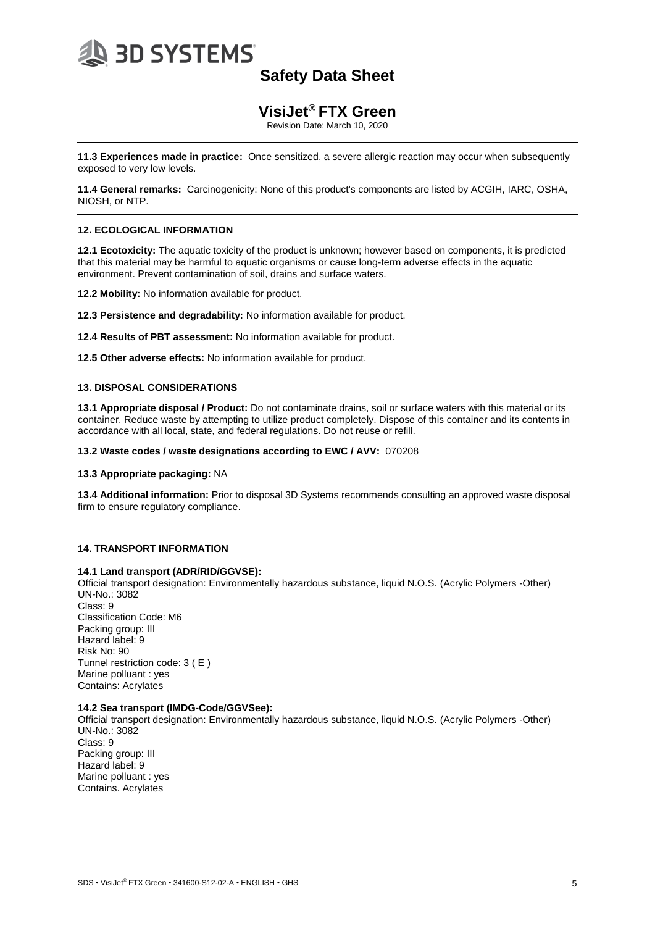

### **VisiJet® FTX Green**

Revision Date: March 10, 2020

**11.3 Experiences made in practice:** Once sensitized, a severe allergic reaction may occur when subsequently exposed to very low levels.

**11.4 General remarks:** Carcinogenicity: None of this product's components are listed by ACGIH, IARC, OSHA, NIOSH, or NTP.

#### **12. ECOLOGICAL INFORMATION**

**12.1 Ecotoxicity:** The aquatic toxicity of the product is unknown; however based on components, it is predicted that this material may be harmful to aquatic organisms or cause long-term adverse effects in the aquatic environment. Prevent contamination of soil, drains and surface waters.

**12.2 Mobility:** No information available for product.

**12.3 Persistence and degradability:** No information available for product.

**12.4 Results of PBT assessment:** No information available for product.

**12.5 Other adverse effects:** No information available for product.

#### **13. DISPOSAL CONSIDERATIONS**

**13.1 Appropriate disposal / Product:** Do not contaminate drains, soil or surface waters with this material or its container. Reduce waste by attempting to utilize product completely. Dispose of this container and its contents in accordance with all local, state, and federal regulations. Do not reuse or refill.

**13.2 Waste codes / waste designations according to EWC / AVV:** 070208

#### **13.3 Appropriate packaging:** NA

**13.4 Additional information:** Prior to disposal 3D Systems recommends consulting an approved waste disposal firm to ensure regulatory compliance.

#### **14. TRANSPORT INFORMATION**

#### **14.1 Land transport (ADR/RID/GGVSE):**

Official transport designation: Environmentally hazardous substance, liquid N.O.S. (Acrylic Polymers -Other) UN-No.: 3082 Class: 9 Classification Code: M6 Packing group: III Hazard label: 9 Risk No: 90 Tunnel restriction code: 3 ( E ) Marine polluant : yes Contains: Acrylates

#### **14.2 Sea transport (IMDG-Code/GGVSee):**

Official transport designation: Environmentally hazardous substance, liquid N.O.S. (Acrylic Polymers -Other) UN-No.: 3082 Class: 9 Packing group: III Hazard label: 9 Marine polluant : yes Contains. Acrylates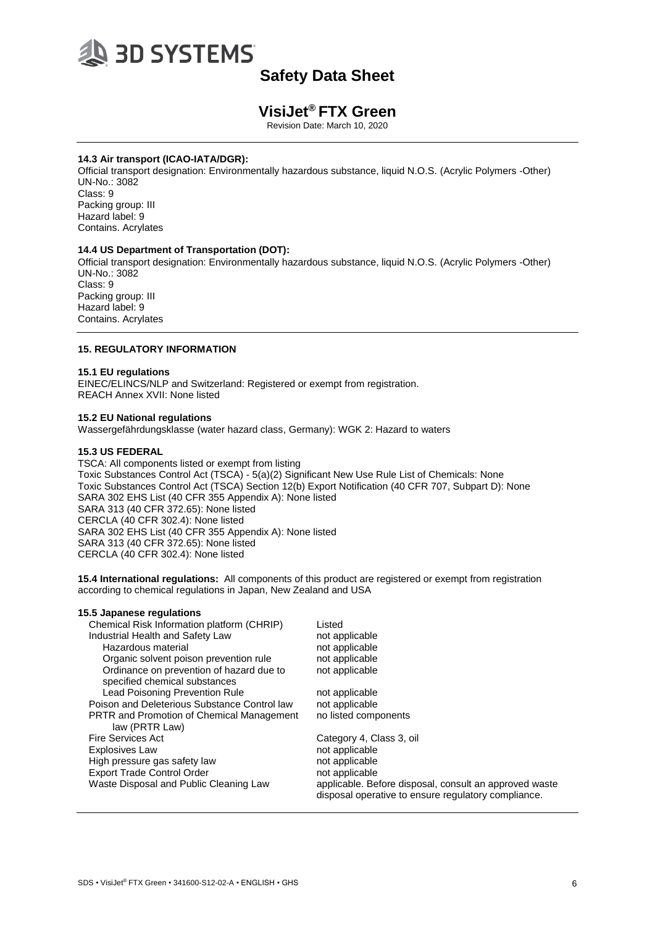

### **VisiJet® FTX Green**

Revision Date: March 10, 2020

#### **14.3 Air transport (ICAO-IATA/DGR):**

Official transport designation: Environmentally hazardous substance, liquid N.O.S. (Acrylic Polymers -Other) UN-No.: 3082 Class: 9 Packing group: III Hazard label: 9 Contains. Acrylates

#### **14.4 US Department of Transportation (DOT):**

Official transport designation: Environmentally hazardous substance, liquid N.O.S. (Acrylic Polymers -Other) UN-No.: 3082 Class: 9 Packing group: III

Hazard label: 9 Contains. Acrylates

#### **15. REGULATORY INFORMATION**

#### **15.1 EU regulations**

EINEC/ELINCS/NLP and Switzerland: Registered or exempt from registration. REACH Annex XVII: None listed

#### **15.2 EU National regulations**

**15.5 Japanese regulations**

Wassergefährdungsklasse (water hazard class, Germany): WGK 2: Hazard to waters

#### **15.3 US FEDERAL**

TSCA: All components listed or exempt from listing Toxic Substances Control Act (TSCA) - 5(a)(2) Significant New Use Rule List of Chemicals: None Toxic Substances Control Act (TSCA) Section 12(b) Export Notification (40 CFR 707, Subpart D): None SARA 302 EHS List (40 CFR 355 Appendix A): None listed SARA 313 (40 CFR 372.65): None listed CERCLA (40 CFR 302.4): None listed SARA 302 EHS List (40 CFR 355 Appendix A): None listed SARA 313 (40 CFR 372.65): None listed CERCLA (40 CFR 302.4): None listed

**15.4 International regulations:** All components of this product are registered or exempt from registration according to chemical regulations in Japan, New Zealand and USA

| Chemical Risk Information platform (CHRIP)       | Listed                                                                                                        |
|--------------------------------------------------|---------------------------------------------------------------------------------------------------------------|
| Industrial Health and Safety Law                 | not applicable                                                                                                |
| Hazardous material                               | not applicable                                                                                                |
| Organic solvent poison prevention rule           | not applicable                                                                                                |
| Ordinance on prevention of hazard due to         | not applicable                                                                                                |
| specified chemical substances                    |                                                                                                               |
| Lead Poisoning Prevention Rule                   | not applicable                                                                                                |
| Poison and Deleterious Substance Control law     | not applicable                                                                                                |
| <b>PRTR and Promotion of Chemical Management</b> | no listed components                                                                                          |
| law (PRTR Law)                                   |                                                                                                               |
| Fire Services Act                                | Category 4, Class 3, oil                                                                                      |
| <b>Explosives Law</b>                            | not applicable                                                                                                |
| High pressure gas safety law                     | not applicable                                                                                                |
| <b>Export Trade Control Order</b>                | not applicable                                                                                                |
| Waste Disposal and Public Cleaning Law           | applicable. Before disposal, consult an approved waste<br>disposal operative to ensure regulatory compliance. |
|                                                  |                                                                                                               |